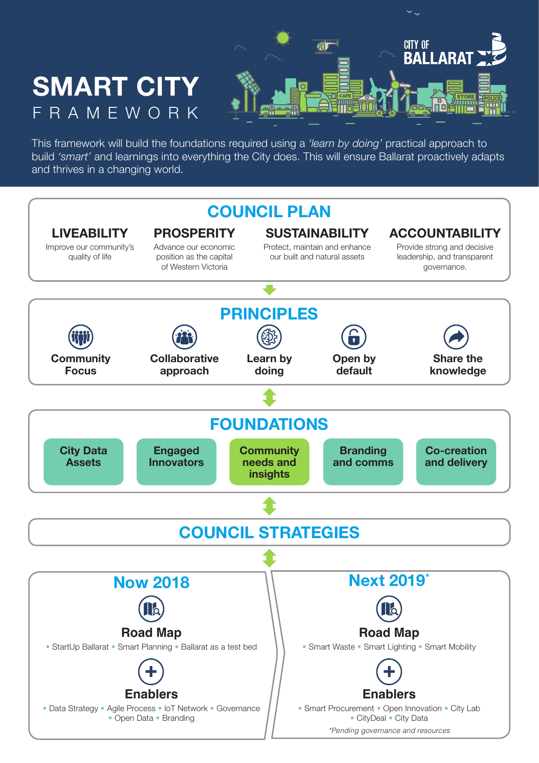

This framework will build the foundations required using a *'learn by doing'* practical approach to build *'smart'* and learnings into everything the City does. This will ensure Ballarat proactively adapts and thrives in a changing world.

**SMART CITY**

FRAMEWORK